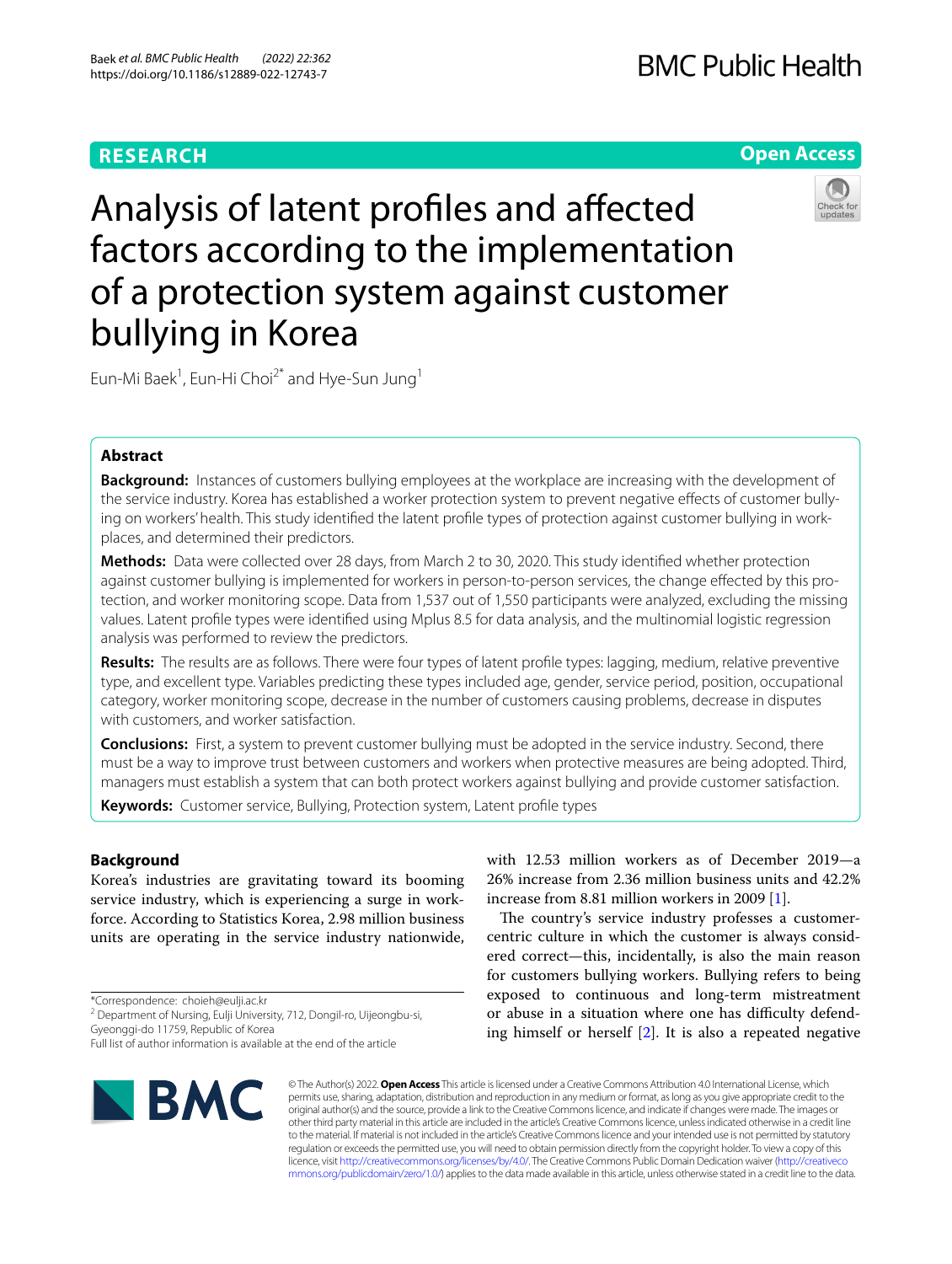# **RESEARCH**

# **Open Access**



Analysis of latent profles and afected factors according to the implementation of a protection system against customer bullying in Korea

Eun-Mi Baek<sup>1</sup>, Eun-Hi Choi<sup>2\*</sup> and Hye-Sun Jung<sup>1</sup>

# **Abstract**

**Background:** Instances of customers bullying employees at the workplace are increasing with the development of the service industry. Korea has established a worker protection system to prevent negative effects of customer bullying on workers' health. This study identified the latent profile types of protection against customer bullying in workplaces, and determined their predictors.

**Methods:** Data were collected over 28 days, from March 2 to 30, 2020. This study identifed whether protection against customer bullying is implemented for workers in person-to-person services, the change effected by this protection, and worker monitoring scope. Data from 1,537 out of 1,550 participants were analyzed, excluding the missing values. Latent profle types were identifed using Mplus 8.5 for data analysis, and the multinomial logistic regression analysis was performed to review the predictors.

**Results:** The results are as follows. There were four types of latent profle types: lagging, medium, relative preventive type, and excellent type. Variables predicting these types included age, gender, service period, position, occupational category, worker monitoring scope, decrease in the number of customers causing problems, decrease in disputes with customers, and worker satisfaction.

**Conclusions:** First, a system to prevent customer bullying must be adopted in the service industry. Second, there must be a way to improve trust between customers and workers when protective measures are being adopted. Third, managers must establish a system that can both protect workers against bullying and provide customer satisfaction.

**Keywords:** Customer service, Bullying, Protection system, Latent profle types

# **Background**

Korea's industries are gravitating toward its booming service industry, which is experiencing a surge in workforce. According to Statistics Korea, 2.98 million business units are operating in the service industry nationwide,

\*Correspondence: choieh@eulji.ac.kr

<sup>2</sup> Department of Nursing, Eulji University, 712, Dongil-ro, Uijeongbu-si, Gyeonggi‑do 11759, Republic of Korea

**BMC** 

with 12.53 million workers as of December 2019—a 26% increase from 2.36 million business units and 42.2% increase from 8.81 million workers in 2009 [\[1](#page-8-0)].

The country's service industry professes a customercentric culture in which the customer is always considered correct—this, incidentally, is also the main reason for customers bullying workers. Bullying refers to being exposed to continuous and long-term mistreatment or abuse in a situation where one has difficulty defending himself or herself [\[2](#page-8-1)]. It is also a repeated negative

© The Author(s) 2022. **Open Access** This article is licensed under a Creative Commons Attribution 4.0 International License, which permits use, sharing, adaptation, distribution and reproduction in any medium or format, as long as you give appropriate credit to the original author(s) and the source, provide a link to the Creative Commons licence, and indicate if changes were made. The images or other third party material in this article are included in the article's Creative Commons licence, unless indicated otherwise in a credit line to the material. If material is not included in the article's Creative Commons licence and your intended use is not permitted by statutory regulation or exceeds the permitted use, you will need to obtain permission directly from the copyright holder. To view a copy of this licence, visit [http://creativecommons.org/licenses/by/4.0/.](http://creativecommons.org/licenses/by/4.0/) The Creative Commons Public Domain Dedication waiver ([http://creativeco](http://creativecommons.org/publicdomain/zero/1.0/) [mmons.org/publicdomain/zero/1.0/](http://creativecommons.org/publicdomain/zero/1.0/)) applies to the data made available in this article, unless otherwise stated in a credit line to the data.

Full list of author information is available at the end of the article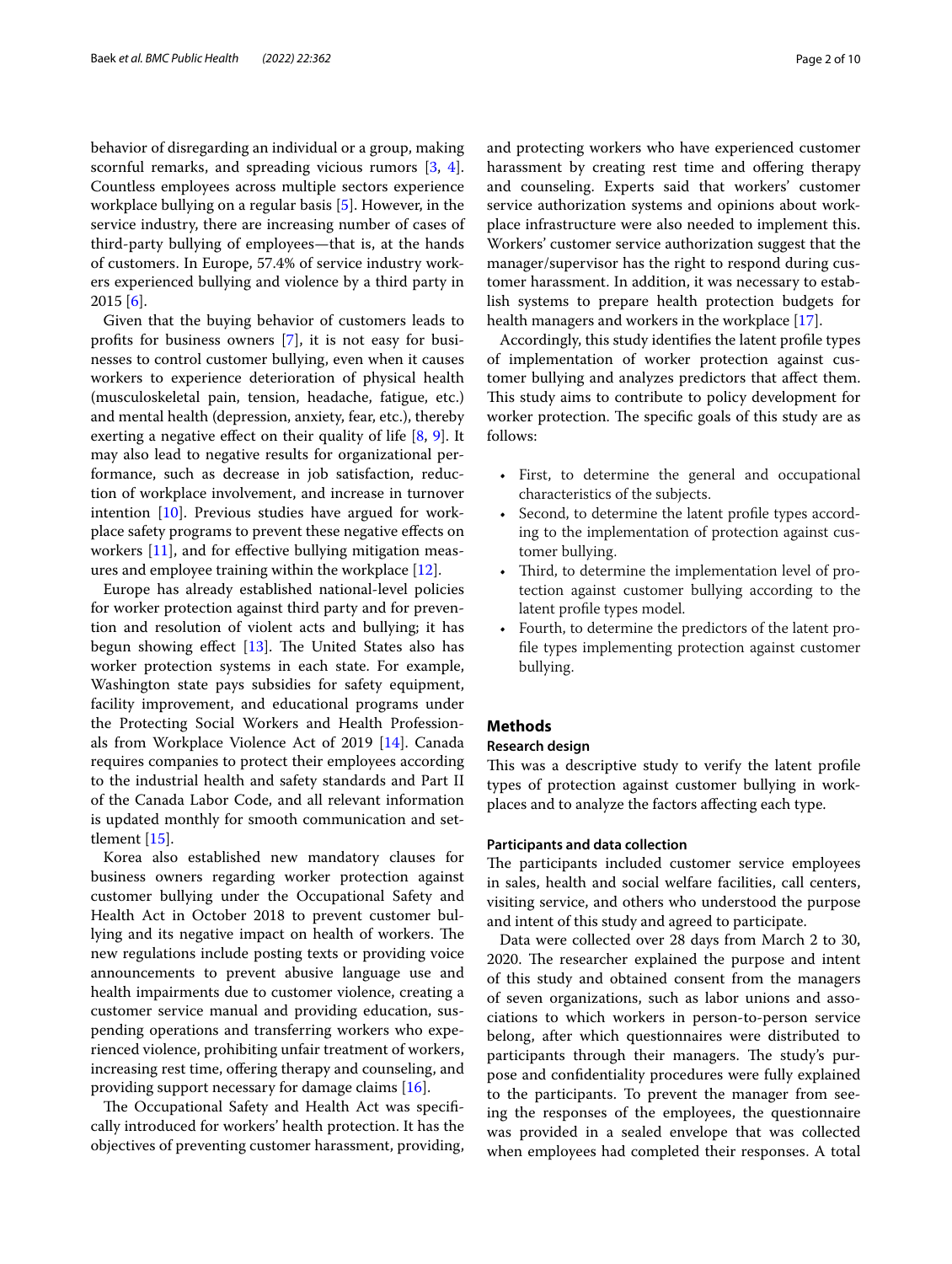behavior of disregarding an individual or a group, making scornful remarks, and spreading vicious rumors [[3,](#page-8-2) [4](#page-8-3)]. Countless employees across multiple sectors experience workplace bullying on a regular basis [\[5](#page-8-4)]. However, in the service industry, there are increasing number of cases of third-party bullying of employees—that is, at the hands of customers. In Europe, 57.4% of service industry workers experienced bullying and violence by a third party in  $2015$  [[6\]](#page-8-5).

Given that the buying behavior of customers leads to profts for business owners [\[7](#page-8-6)], it is not easy for businesses to control customer bullying, even when it causes workers to experience deterioration of physical health (musculoskeletal pain, tension, headache, fatigue, etc.) and mental health (depression, anxiety, fear, etc.), thereby exerting a negative effect on their quality of life [[8](#page-8-7), [9\]](#page-8-8). It may also lead to negative results for organizational performance, such as decrease in job satisfaction, reduction of workplace involvement, and increase in turnover intention [[10\]](#page-8-9). Previous studies have argued for workplace safety programs to prevent these negative efects on workers [[11](#page-8-10)], and for effective bullying mitigation measures and employee training within the workplace [\[12](#page-8-11)].

Europe has already established national-level policies for worker protection against third party and for prevention and resolution of violent acts and bullying; it has begun showing effect  $[13]$  $[13]$ . The United States also has worker protection systems in each state. For example, Washington state pays subsidies for safety equipment, facility improvement, and educational programs under the Protecting Social Workers and Health Professionals from Workplace Violence Act of 2019 [\[14](#page-8-13)]. Canada requires companies to protect their employees according to the industrial health and safety standards and Part II of the Canada Labor Code, and all relevant information is updated monthly for smooth communication and settlement [[15\]](#page-8-14).

Korea also established new mandatory clauses for business owners regarding worker protection against customer bullying under the Occupational Safety and Health Act in October 2018 to prevent customer bullying and its negative impact on health of workers. The new regulations include posting texts or providing voice announcements to prevent abusive language use and health impairments due to customer violence, creating a customer service manual and providing education, suspending operations and transferring workers who experienced violence, prohibiting unfair treatment of workers, increasing rest time, offering therapy and counseling, and providing support necessary for damage claims [\[16](#page-8-15)].

The Occupational Safety and Health Act was specifically introduced for workers' health protection. It has the objectives of preventing customer harassment, providing,

and protecting workers who have experienced customer harassment by creating rest time and offering therapy and counseling. Experts said that workers' customer service authorization systems and opinions about workplace infrastructure were also needed to implement this. Workers' customer service authorization suggest that the manager/supervisor has the right to respond during customer harassment. In addition, it was necessary to establish systems to prepare health protection budgets for health managers and workers in the workplace [[17\]](#page-8-16).

Accordingly, this study identifes the latent profle types of implementation of worker protection against customer bullying and analyzes predictors that afect them. This study aims to contribute to policy development for worker protection. The specific goals of this study are as follows:

- First, to determine the general and occupational characteristics of the subjects.
- Second, to determine the latent profile types according to the implementation of protection against customer bullying.
- Third, to determine the implementation level of protection against customer bullying according to the latent profle types model.
- Fourth, to determine the predictors of the latent profle types implementing protection against customer bullying.

# **Methods**

# **Research design**

This was a descriptive study to verify the latent profile types of protection against customer bullying in workplaces and to analyze the factors afecting each type.

#### **Participants and data collection**

The participants included customer service employees in sales, health and social welfare facilities, call centers, visiting service, and others who understood the purpose and intent of this study and agreed to participate.

Data were collected over 28 days from March 2 to 30, 2020. The researcher explained the purpose and intent of this study and obtained consent from the managers of seven organizations, such as labor unions and associations to which workers in person-to-person service belong, after which questionnaires were distributed to participants through their managers. The study's purpose and confdentiality procedures were fully explained to the participants. To prevent the manager from seeing the responses of the employees, the questionnaire was provided in a sealed envelope that was collected when employees had completed their responses. A total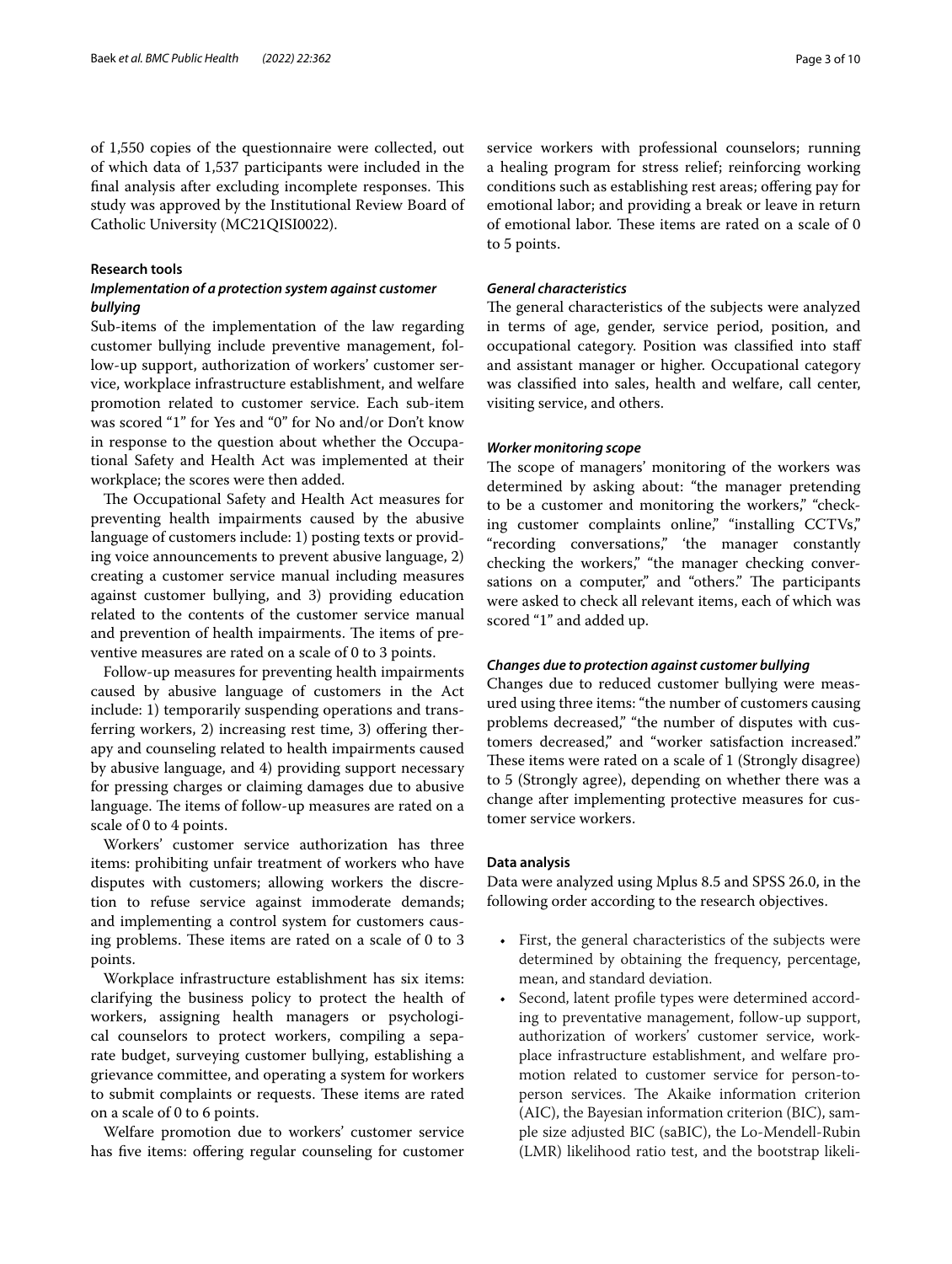of 1,550 copies of the questionnaire were collected, out of which data of 1,537 participants were included in the final analysis after excluding incomplete responses. This study was approved by the Institutional Review Board of Catholic University (MC21QISI0022).

#### **Research tools**

# *Implementation of a protection system against customer bullying*

Sub-items of the implementation of the law regarding customer bullying include preventive management, follow-up support, authorization of workers' customer service, workplace infrastructure establishment, and welfare promotion related to customer service. Each sub-item was scored "1" for Yes and "0" for No and/or Don't know in response to the question about whether the Occupational Safety and Health Act was implemented at their workplace; the scores were then added.

The Occupational Safety and Health Act measures for preventing health impairments caused by the abusive language of customers include: 1) posting texts or providing voice announcements to prevent abusive language, 2) creating a customer service manual including measures against customer bullying, and 3) providing education related to the contents of the customer service manual and prevention of health impairments. The items of preventive measures are rated on a scale of 0 to 3 points.

Follow-up measures for preventing health impairments caused by abusive language of customers in the Act include: 1) temporarily suspending operations and transferring workers, 2) increasing rest time, 3) offering therapy and counseling related to health impairments caused by abusive language, and 4) providing support necessary for pressing charges or claiming damages due to abusive language. The items of follow-up measures are rated on a scale of 0 to 4 points.

Workers' customer service authorization has three items: prohibiting unfair treatment of workers who have disputes with customers; allowing workers the discretion to refuse service against immoderate demands; and implementing a control system for customers causing problems. These items are rated on a scale of 0 to 3 points.

Workplace infrastructure establishment has six items: clarifying the business policy to protect the health of workers, assigning health managers or psychological counselors to protect workers, compiling a separate budget, surveying customer bullying, establishing a grievance committee, and operating a system for workers to submit complaints or requests. These items are rated on a scale of 0 to 6 points.

Welfare promotion due to workers' customer service has five items: offering regular counseling for customer service workers with professional counselors; running a healing program for stress relief; reinforcing working conditions such as establishing rest areas; offering pay for emotional labor; and providing a break or leave in return of emotional labor. These items are rated on a scale of 0 to 5 points.

# *General characteristics*

The general characteristics of the subjects were analyzed in terms of age, gender, service period, position, and occupational category. Position was classifed into staf and assistant manager or higher. Occupational category was classifed into sales, health and welfare, call center, visiting service, and others.

# *Worker monitoring scope*

The scope of managers' monitoring of the workers was determined by asking about: "the manager pretending to be a customer and monitoring the workers," "checking customer complaints online," "installing CCTVs," "recording conversations," 'the manager constantly checking the workers," "the manager checking conversations on a computer," and "others." The participants were asked to check all relevant items, each of which was scored "1" and added up.

# *Changes due to protection against customer bullying*

Changes due to reduced customer bullying were measured using three items: "the number of customers causing problems decreased," "the number of disputes with customers decreased," and "worker satisfaction increased." These items were rated on a scale of 1 (Strongly disagree) to 5 (Strongly agree), depending on whether there was a change after implementing protective measures for customer service workers.

# **Data analysis**

Data were analyzed using Mplus 8.5 and SPSS 26.0, in the following order according to the research objectives.

- First, the general characteristics of the subjects were determined by obtaining the frequency, percentage, mean, and standard deviation.
- Second, latent profile types were determined according to preventative management, follow-up support, authorization of workers' customer service, workplace infrastructure establishment, and welfare promotion related to customer service for person-toperson services. The Akaike information criterion (AIC), the Bayesian information criterion (BIC), sample size adjusted BIC (saBIC), the Lo-Mendell-Rubin (LMR) likelihood ratio test, and the bootstrap likeli-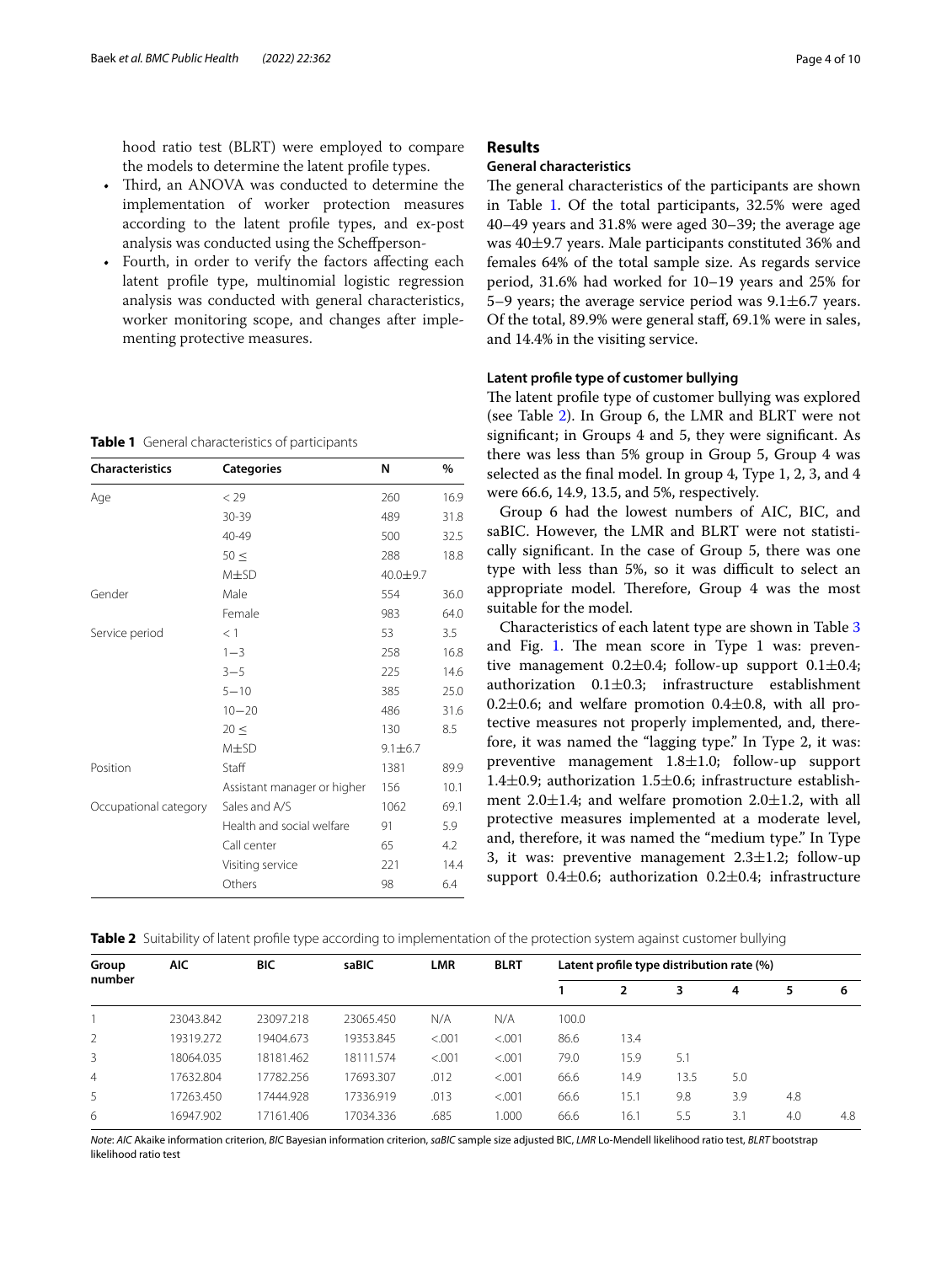hood ratio test (BLRT) were employed to compare the models to determine the latent profle types.

- Third, an ANOVA was conducted to determine the implementation of worker protection measures according to the latent profle types, and ex-post analysis was conducted using the Schefperson-
- Fourth, in order to verify the factors affecting each latent profle type, multinomial logistic regression analysis was conducted with general characteristics, worker monitoring scope, and changes after implementing protective measures.

<span id="page-3-0"></span>**Table 1** General characteristics of participants

| <b>Characteristics</b> | <b>Categories</b>           | N             | %    |
|------------------------|-----------------------------|---------------|------|
| Age                    | < 29                        | 260           | 16.9 |
|                        | 30-39                       | 489           | 31.8 |
|                        | 40-49                       | 500           | 32.5 |
|                        | $50 \leq$                   | 288           | 18.8 |
|                        | $M\pm SD$                   | 40.0±9.7      |      |
| Gender                 | Male                        | 554           | 36.0 |
|                        | Female                      | 983           | 64.0 |
| Service period         | $<$ 1                       | 53            | 3.5  |
|                        | $1 - 3$                     | 258           | 16.8 |
|                        | $3 - 5$                     | 225           | 14.6 |
|                        | $5 - 10$                    | 385           | 25.0 |
|                        | $10 - 20$                   | 486           | 31.6 |
|                        | $20 \leq$                   | 130           | 8.5  |
|                        | $M\pm SD$                   | $9.1 \pm 6.7$ |      |
| Position               | Staff                       | 1381          | 89.9 |
|                        | Assistant manager or higher | 156           | 10.1 |
| Occupational category  | Sales and A/S               | 1062          | 69.1 |
|                        | Health and social welfare   | 91            | 5.9  |
|                        | Call center                 | 65            | 4.2  |
|                        | Visiting service            | 221           | 14.4 |
|                        | Others                      | 98            | 6.4  |

## **Results**

#### **General characteristics**

The general characteristics of the participants are shown in Table [1.](#page-3-0) Of the total participants, 32.5% were aged 40–49 years and 31.8% were aged 30–39; the average age was 40±9.7 years. Male participants constituted 36% and females 64% of the total sample size. As regards service period, 31.6% had worked for 10–19 years and 25% for 5–9 years; the average service period was  $9.1 \pm 6.7$  years. Of the total, 89.9% were general staf, 69.1% were in sales, and 14.4% in the visiting service.

#### **Latent profle type of customer bullying**

The latent profile type of customer bullying was explored (see Table [2\)](#page-3-1). In Group 6, the LMR and BLRT were not signifcant; in Groups 4 and 5, they were signifcant. As there was less than 5% group in Group 5, Group 4 was selected as the fnal model. In group 4, Type 1, 2, 3, and 4 were 66.6, 14.9, 13.5, and 5%, respectively.

Group 6 had the lowest numbers of AIC, BIC, and saBIC. However, the LMR and BLRT were not statistically signifcant. In the case of Group 5, there was one type with less than 5%, so it was difficult to select an appropriate model. Therefore, Group 4 was the most suitable for the model.

Characteristics of each latent type are shown in Table [3](#page-4-0) and Fig. [1.](#page-4-1) The mean score in Type 1 was: preventive management  $0.2 \pm 0.4$ ; follow-up support  $0.1 \pm 0.4$ ; authorization  $0.1 \pm 0.3$ ; infrastructure establishment 0.2 $\pm$ 0.6; and welfare promotion 0.4 $\pm$ 0.8, with all protective measures not properly implemented, and, therefore, it was named the "lagging type." In Type 2, it was: preventive management 1.8±1.0; follow-up support 1.4 $\pm$ 0.9; authorization 1.5 $\pm$ 0.6; infrastructure establishment  $2.0 \pm 1.4$ ; and welfare promotion  $2.0 \pm 1.2$ , with all protective measures implemented at a moderate level, and, therefore, it was named the "medium type." In Type 3, it was: preventive management  $2.3 \pm 1.2$ ; follow-up support 0.4 $\pm$ 0.6; authorization 0.2 $\pm$ 0.4; infrastructure

<span id="page-3-1"></span>

|  |  |  |  |  | Table 2 Suitability of latent profile type according to implementation of the protection system against customer bullying |  |  |
|--|--|--|--|--|---------------------------------------------------------------------------------------------------------------------------|--|--|
|--|--|--|--|--|---------------------------------------------------------------------------------------------------------------------------|--|--|

| Group          | <b>AIC</b> | <b>BIC</b> | saBIC     | <b>LMR</b> | <b>BLRT</b> |       | Latent profile type distribution rate (%) |      |     |     |     |
|----------------|------------|------------|-----------|------------|-------------|-------|-------------------------------------------|------|-----|-----|-----|
| number         |            |            |           |            |             |       |                                           | 3    | 4   | 5   | 6   |
|                | 23043.842  | 23097.218  | 23065.450 | N/A        | N/A         | 100.0 |                                           |      |     |     |     |
| 2              | 19319.272  | 19404.673  | 19353.845 | < 0.001    | < 0.001     | 86.6  | 13.4                                      |      |     |     |     |
| 3              | 18064.035  | 18181.462  | 18111.574 | < 0.001    | < 0.001     | 79.0  | 15.9                                      | 5.1  |     |     |     |
| $\overline{4}$ | 17632.804  | 17782.256  | 17693.307 | .012       | < 0.001     | 66.6  | 14.9                                      | 13.5 | 5.0 |     |     |
| 5              | 17263.450  | 17444.928  | 17336.919 | .013       | < 0.001     | 66.6  | 15.1                                      | 9.8  | 3.9 | 4.8 |     |
| 6              | 16947.902  | 17161.406  | 17034.336 | .685       | 1.000       | 66.6  | 16.1                                      | 5.5  | 3.1 | 4.0 | 4.8 |

*Note*: *AIC* Akaike information criterion, *BIC* Bayesian information criterion, *saBIC* sample size adjusted BIC, *LMR* Lo-Mendell likelihood ratio test, *BLRT* bootstrap likelihood ratio test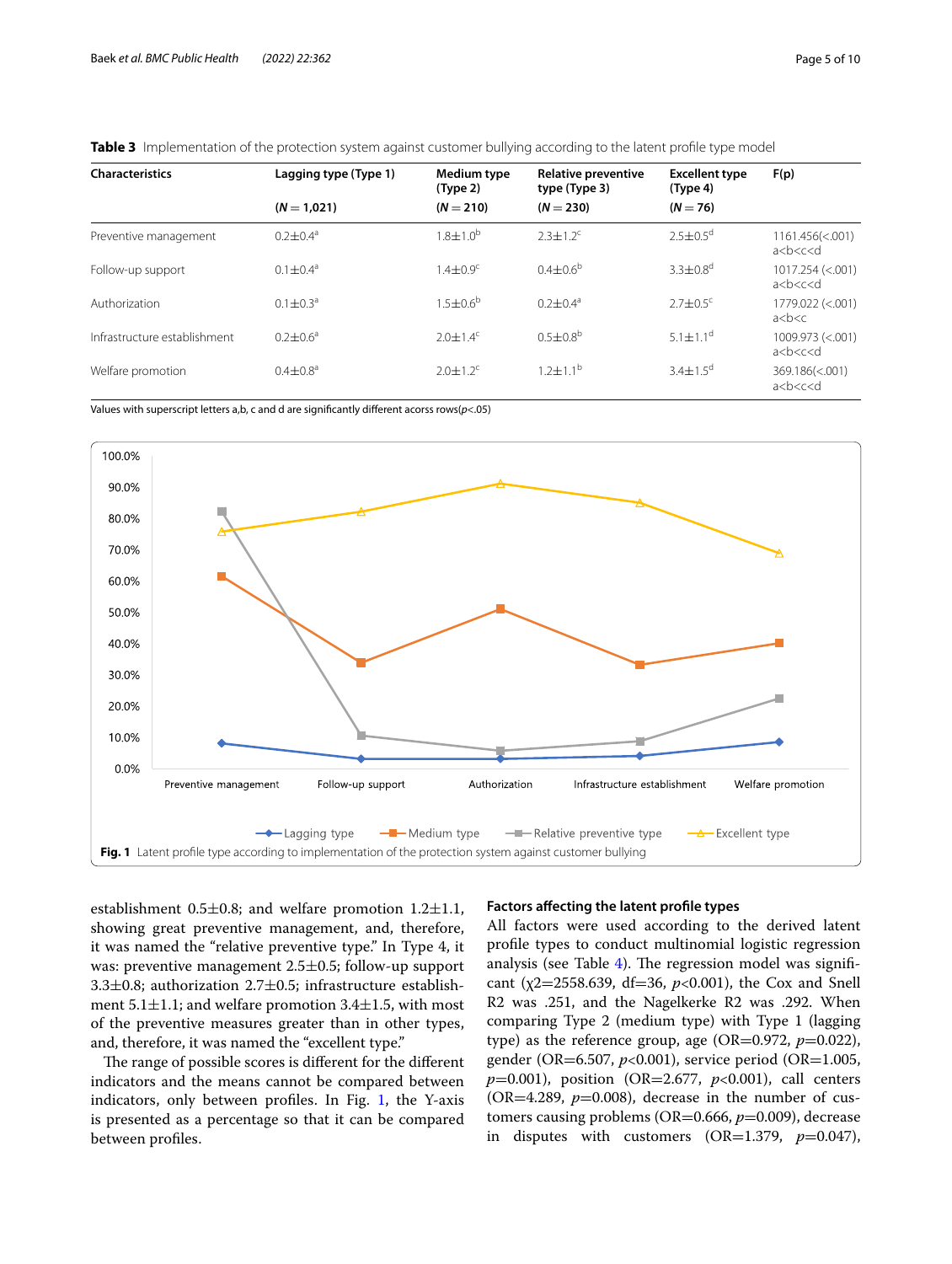| <b>Characteristics</b>       | Lagging type (Type 1) | Medium type<br>(Type 2)  | Relative preventive<br>type (Type 3) | <b>Excellent type</b><br>(Type 4) | F(p)                                   |
|------------------------------|-----------------------|--------------------------|--------------------------------------|-----------------------------------|----------------------------------------|
|                              | $(N = 1.021)$         | $(N = 210)$              | $(N = 230)$                          | $(N = 76)$                        |                                        |
| Preventive management        | $0.2 + 0.4^a$         | $1.8 \pm 1.0^{\circ}$    | $2.3 + 1.2^c$                        | $2.5 + 0.5^d$                     | $1161.456 \times 001$<br>a < b < c < d |
| Follow-up support            | $0.1 \pm 0.4^{\circ}$ | $14+09c$                 | $0.4 + 0.6^b$                        | $3.3 + 0.8^d$                     | $1017.254$ (<.001)<br>a < b < c < d    |
| Authorization                | $0.1 + 0.3a$          | $1.5 + 0.6^b$            | $0.2 + 0.4$ <sup>a</sup>             | $2.7 \pm 0.5$ <sup>c</sup>        | 1779.022 (<.001)<br>a < b < c          |
| Infrastructure establishment | $0.2 + 0.6^a$         | $2.0 + 1.4^c$            | $0.5 + 0.8^{b}$                      | $5.1 \pm 1.1^d$                   | 1009.973 (<.001)<br>a < b < c < d      |
| Welfare promotion            | $0.4 + 0.8^a$         | $2.0 + 1.2$ <sup>c</sup> | $1.2 \pm 1.1^{\circ}$                | $3.4 \pm 1.5^{\circ}$             | 369.186(<.001)<br>a < b < c < d        |

<span id="page-4-0"></span>

|--|

Values with superscript letters a,b, c and d are signifcantly diferent acorss rows(*p*<.05)



<span id="page-4-1"></span>establishment 0.5 $\pm$ 0.8; and welfare promotion 1.2 $\pm$ 1.1, showing great preventive management, and, therefore, it was named the "relative preventive type." In Type 4, it was: preventive management 2.5±0.5; follow-up support 3.3±0.8; authorization 2.7±0.5; infrastructure establishment 5.1±1.1; and welfare promotion 3.4±1.5, with most of the preventive measures greater than in other types, and, therefore, it was named the "excellent type."

The range of possible scores is different for the different indicators and the means cannot be compared between indicators, only between profles. In Fig. [1](#page-4-1), the Y-axis is presented as a percentage so that it can be compared between profles.

#### **Factors afecting the latent profle types**

All factors were used according to the derived latent profle types to conduct multinomial logistic regression analysis (see Table  $4$ ). The regression model was significant (χ2=2558.639, df=36, *p*<0.001), the Cox and Snell R2 was .251, and the Nagelkerke R2 was .292. When comparing Type 2 (medium type) with Type 1 (lagging type) as the reference group, age (OR=0.972,  $p=0.022$ ), gender (OR=6.507, *p*<0.001), service period (OR=1.005, *p*=0.001), position (OR=2.677, *p*<0.001), call centers (OR=4.289,  $p=0.008$ ), decrease in the number of customers causing problems (OR=0.666,  $p$ =0.009), decrease in disputes with customers  $(OR=1.379, p=0.047)$ ,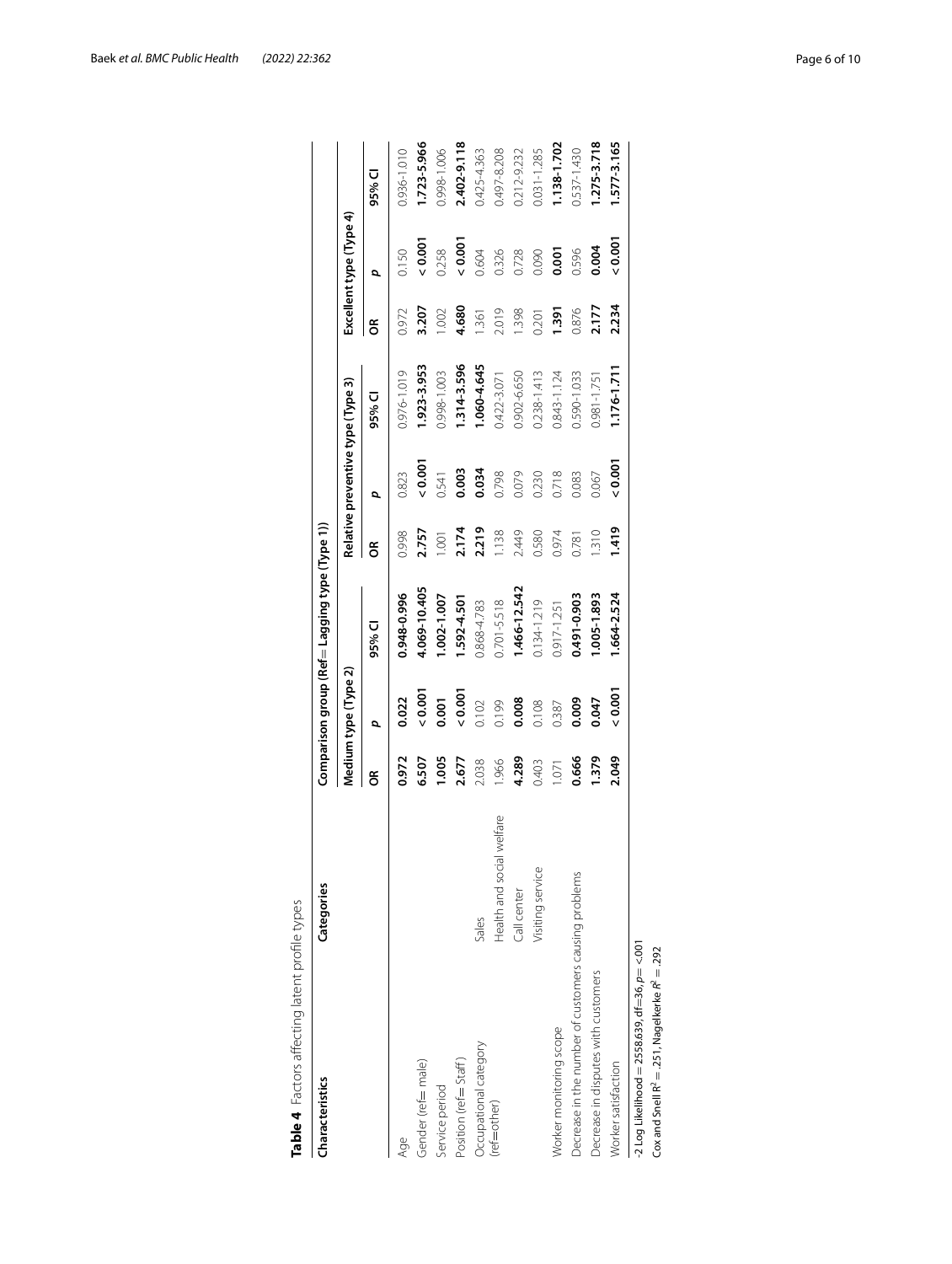| 1.923-3.953<br>1.314-3.596<br>1.060-4.645<br>0.976-1.019<br>0.998-1.003<br>0.238-1.413<br>0.902-6.650<br>0.843-1.124<br>0.590-1.033<br>0.422-3.071<br>Relative preventive type (Type 3)<br>95% CI<br>$\frac{0.001}{5}$<br>0.003<br>0.034<br>0.823<br>0.798<br>0.079<br>0.718<br>0.541<br>0.230<br>0.083<br>đ<br>2.219<br>2.757<br>2.174<br>2.449<br>0.998<br>1.138<br>0.974<br>0.580<br>1.001<br>0.781<br>g<br>4.069-10.405<br>1.466-12.542<br>0.948-0.996<br>1.002-1.007<br>0.491-0.903<br>1.592-4.501<br>$0.701 - 5.518$<br>0.134-1.219<br>0.868-4.783<br>0.917-1.251<br>95% CI<br>Medium type (Type 2)<br>0.001<br>0.001<br>0.022<br>0.009<br>0.001<br>0.008<br>0.102<br>0.199<br>0.108<br>0.387<br>đ<br>1.005<br>4.289<br>0.666<br>0.972<br>6.507<br>2.677<br>2.038<br>1.966<br>0.403<br>1.071<br>g<br>Health and social welfare<br>Visiting service<br>Decrease in the number of customers causing problems<br>Call center<br>Sales<br>Worker monitoring scope<br>Occupational category<br>Gender (ref=male)<br>Position (ref= Staff)<br>Service period<br>(ref=other)<br>Age | Characteristics                                      | Categories |       |       | Comparison group (Ref = Lagging type (Type 1)) |       |       |             |       |                         |                 |
|------------------------------------------------------------------------------------------------------------------------------------------------------------------------------------------------------------------------------------------------------------------------------------------------------------------------------------------------------------------------------------------------------------------------------------------------------------------------------------------------------------------------------------------------------------------------------------------------------------------------------------------------------------------------------------------------------------------------------------------------------------------------------------------------------------------------------------------------------------------------------------------------------------------------------------------------------------------------------------------------------------------------------------------------------------------------------------|------------------------------------------------------|------------|-------|-------|------------------------------------------------|-------|-------|-------------|-------|-------------------------|-----------------|
|                                                                                                                                                                                                                                                                                                                                                                                                                                                                                                                                                                                                                                                                                                                                                                                                                                                                                                                                                                                                                                                                                    |                                                      |            |       |       |                                                |       |       |             |       | Excellent type (Type 4) |                 |
|                                                                                                                                                                                                                                                                                                                                                                                                                                                                                                                                                                                                                                                                                                                                                                                                                                                                                                                                                                                                                                                                                    |                                                      |            |       |       |                                                |       |       |             | g     | p                       | 95% CI          |
|                                                                                                                                                                                                                                                                                                                                                                                                                                                                                                                                                                                                                                                                                                                                                                                                                                                                                                                                                                                                                                                                                    |                                                      |            |       |       |                                                |       |       |             | 0.972 | 0.150                   | 0.936-1.010     |
|                                                                                                                                                                                                                                                                                                                                                                                                                                                                                                                                                                                                                                                                                                                                                                                                                                                                                                                                                                                                                                                                                    |                                                      |            |       |       |                                                |       |       |             | 3.207 | 0.001                   | 1.723-5.966     |
|                                                                                                                                                                                                                                                                                                                                                                                                                                                                                                                                                                                                                                                                                                                                                                                                                                                                                                                                                                                                                                                                                    |                                                      |            |       |       |                                                |       |       |             | 1.002 | 0.258                   | 0.998-1.006     |
|                                                                                                                                                                                                                                                                                                                                                                                                                                                                                                                                                                                                                                                                                                                                                                                                                                                                                                                                                                                                                                                                                    |                                                      |            |       |       |                                                |       |       |             | 4.680 | 0.001                   | 2.402-9.118     |
|                                                                                                                                                                                                                                                                                                                                                                                                                                                                                                                                                                                                                                                                                                                                                                                                                                                                                                                                                                                                                                                                                    |                                                      |            |       |       |                                                |       |       |             | 1.361 | 0.604                   | 0.425-4.363     |
|                                                                                                                                                                                                                                                                                                                                                                                                                                                                                                                                                                                                                                                                                                                                                                                                                                                                                                                                                                                                                                                                                    |                                                      |            |       |       |                                                |       |       |             | 2.019 | 0.326                   | 0.497-8.208     |
|                                                                                                                                                                                                                                                                                                                                                                                                                                                                                                                                                                                                                                                                                                                                                                                                                                                                                                                                                                                                                                                                                    |                                                      |            |       |       |                                                |       |       |             | 1.398 | 0.728                   | 0.212-9.232     |
|                                                                                                                                                                                                                                                                                                                                                                                                                                                                                                                                                                                                                                                                                                                                                                                                                                                                                                                                                                                                                                                                                    |                                                      |            |       |       |                                                |       |       |             | 0.201 | 0.090                   | $0.031 - 1.285$ |
|                                                                                                                                                                                                                                                                                                                                                                                                                                                                                                                                                                                                                                                                                                                                                                                                                                                                                                                                                                                                                                                                                    |                                                      |            |       |       |                                                |       |       |             | 1.391 | 0.001                   | 1.138-1.702     |
|                                                                                                                                                                                                                                                                                                                                                                                                                                                                                                                                                                                                                                                                                                                                                                                                                                                                                                                                                                                                                                                                                    |                                                      |            |       |       |                                                |       |       |             | 0.876 | 0.596                   | 0.537-1.430     |
|                                                                                                                                                                                                                                                                                                                                                                                                                                                                                                                                                                                                                                                                                                                                                                                                                                                                                                                                                                                                                                                                                    | Decrease in disputes with customers                  |            | 1.379 | 0.047 | 1.005-1.893                                    | 1.310 | 0.067 | 0.981-1.751 | 2.177 | 0.004                   | 1.275-3.718     |
| $1.176 - 1.711$<br>$\frac{2000}{5}$<br>1.419<br>1.664-2.524<br>$\frac{2000}{5}$<br>2.049<br>Worker satisfaction                                                                                                                                                                                                                                                                                                                                                                                                                                                                                                                                                                                                                                                                                                                                                                                                                                                                                                                                                                    |                                                      |            |       |       |                                                |       |       |             | 2.234 | $\frac{5}{2}$           | 1.577-3.165     |
|                                                                                                                                                                                                                                                                                                                                                                                                                                                                                                                                                                                                                                                                                                                                                                                                                                                                                                                                                                                                                                                                                    | Cox and Snell $R^2 = .251$ , Nagelkerke $R^2 = .292$ |            |       |       |                                                |       |       |             |       |                         |                 |

<span id="page-5-0"></span>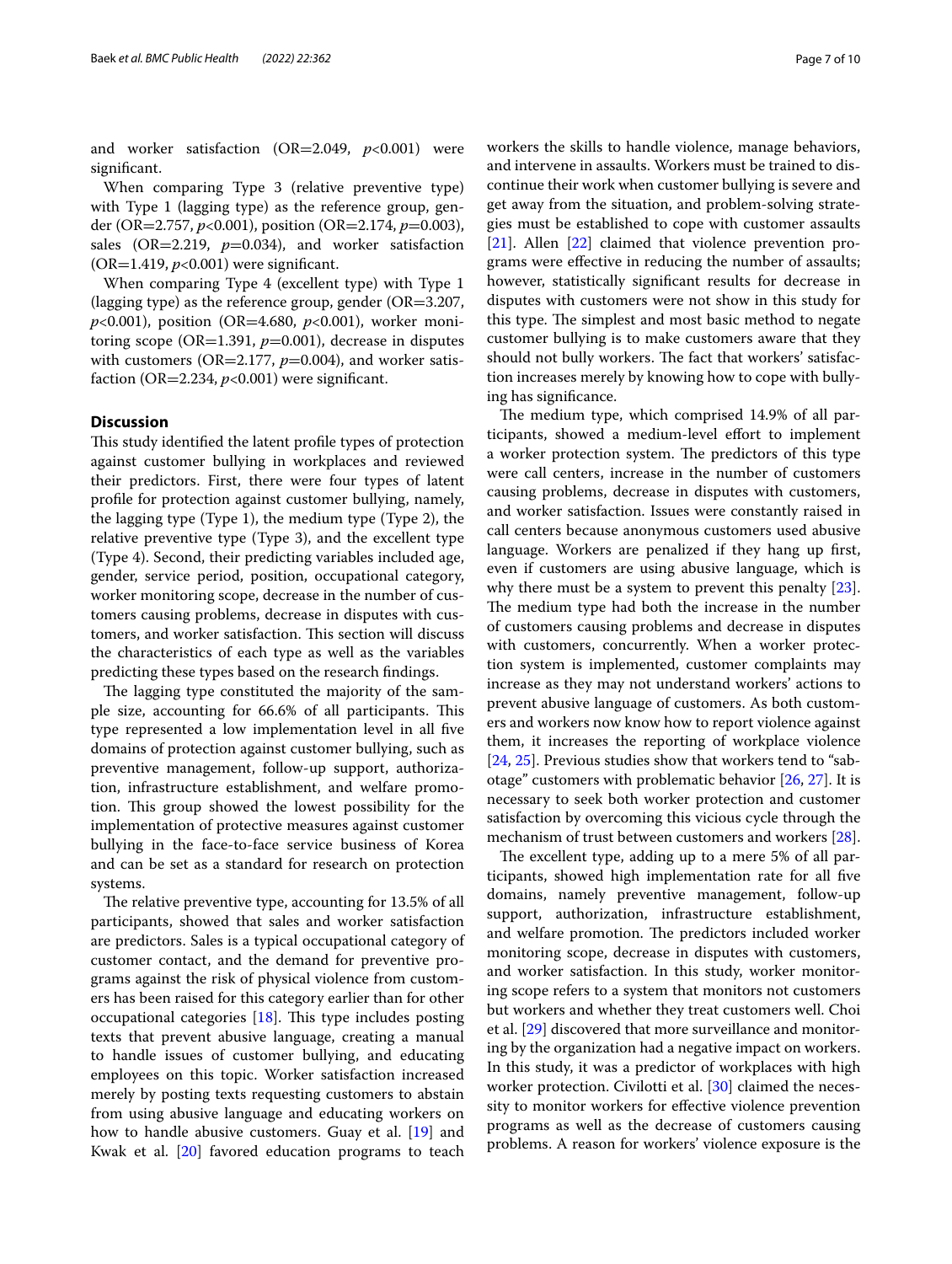and worker satisfaction (OR=2.049, *p*<0.001) were signifcant.

When comparing Type 3 (relative preventive type) with Type 1 (lagging type) as the reference group, gender (OR=2.757, *p*<0.001), position (OR=2.174, *p*=0.003), sales (OR=2.219,  $p=0.034$ ), and worker satisfaction (OR=1.419, *p*<0.001) were signifcant.

When comparing Type 4 (excellent type) with Type 1 (lagging type) as the reference group, gender ( $OR=3.207$ , *p*<0.001), position (OR=4.680, *p*<0.001), worker monitoring scope ( $OR=1.391$ ,  $p=0.001$ ), decrease in disputes with customers ( $OR=2.177$ ,  $p=0.004$ ), and worker satisfaction ( $OR=2.234$ ,  $p<0.001$ ) were significant.

# **Discussion**

This study identified the latent profile types of protection against customer bullying in workplaces and reviewed their predictors. First, there were four types of latent profle for protection against customer bullying, namely, the lagging type (Type 1), the medium type (Type 2), the relative preventive type (Type 3), and the excellent type (Type 4). Second, their predicting variables included age, gender, service period, position, occupational category, worker monitoring scope, decrease in the number of customers causing problems, decrease in disputes with customers, and worker satisfaction. This section will discuss the characteristics of each type as well as the variables predicting these types based on the research fndings.

The lagging type constituted the majority of the sample size, accounting for 66.6% of all participants. This type represented a low implementation level in all fve domains of protection against customer bullying, such as preventive management, follow-up support, authorization, infrastructure establishment, and welfare promotion. This group showed the lowest possibility for the implementation of protective measures against customer bullying in the face-to-face service business of Korea and can be set as a standard for research on protection systems.

The relative preventive type, accounting for 13.5% of all participants, showed that sales and worker satisfaction are predictors. Sales is a typical occupational category of customer contact, and the demand for preventive programs against the risk of physical violence from customers has been raised for this category earlier than for other occupational categories  $[18]$ . This type includes posting texts that prevent abusive language, creating a manual to handle issues of customer bullying, and educating employees on this topic. Worker satisfaction increased merely by posting texts requesting customers to abstain from using abusive language and educating workers on how to handle abusive customers. Guay et al. [\[19](#page-8-18)] and Kwak et al. [\[20](#page-8-19)] favored education programs to teach workers the skills to handle violence, manage behaviors, and intervene in assaults. Workers must be trained to discontinue their work when customer bullying is severe and get away from the situation, and problem-solving strategies must be established to cope with customer assaults [[21\]](#page-8-20). Allen [[22\]](#page-8-21) claimed that violence prevention programs were efective in reducing the number of assaults; however, statistically signifcant results for decrease in disputes with customers were not show in this study for this type. The simplest and most basic method to negate customer bullying is to make customers aware that they should not bully workers. The fact that workers' satisfaction increases merely by knowing how to cope with bullying has signifcance.

The medium type, which comprised 14.9% of all participants, showed a medium-level effort to implement a worker protection system. The predictors of this type were call centers, increase in the number of customers causing problems, decrease in disputes with customers, and worker satisfaction. Issues were constantly raised in call centers because anonymous customers used abusive language. Workers are penalized if they hang up frst, even if customers are using abusive language, which is why there must be a system to prevent this penalty  $[23]$  $[23]$ . The medium type had both the increase in the number of customers causing problems and decrease in disputes with customers, concurrently. When a worker protection system is implemented, customer complaints may increase as they may not understand workers' actions to prevent abusive language of customers. As both customers and workers now know how to report violence against them, it increases the reporting of workplace violence [[24,](#page-8-23) [25](#page-8-24)]. Previous studies show that workers tend to "sabotage" customers with problematic behavior [\[26,](#page-8-25) [27](#page-8-26)]. It is necessary to seek both worker protection and customer satisfaction by overcoming this vicious cycle through the mechanism of trust between customers and workers [\[28](#page-8-27)].

The excellent type, adding up to a mere 5% of all participants, showed high implementation rate for all fve domains, namely preventive management, follow-up support, authorization, infrastructure establishment, and welfare promotion. The predictors included worker monitoring scope, decrease in disputes with customers, and worker satisfaction. In this study, worker monitoring scope refers to a system that monitors not customers but workers and whether they treat customers well. Choi et al. [\[29](#page-9-0)] discovered that more surveillance and monitoring by the organization had a negative impact on workers. In this study, it was a predictor of workplaces with high worker protection. Civilotti et al. [[30\]](#page-9-1) claimed the necessity to monitor workers for efective violence prevention programs as well as the decrease of customers causing problems. A reason for workers' violence exposure is the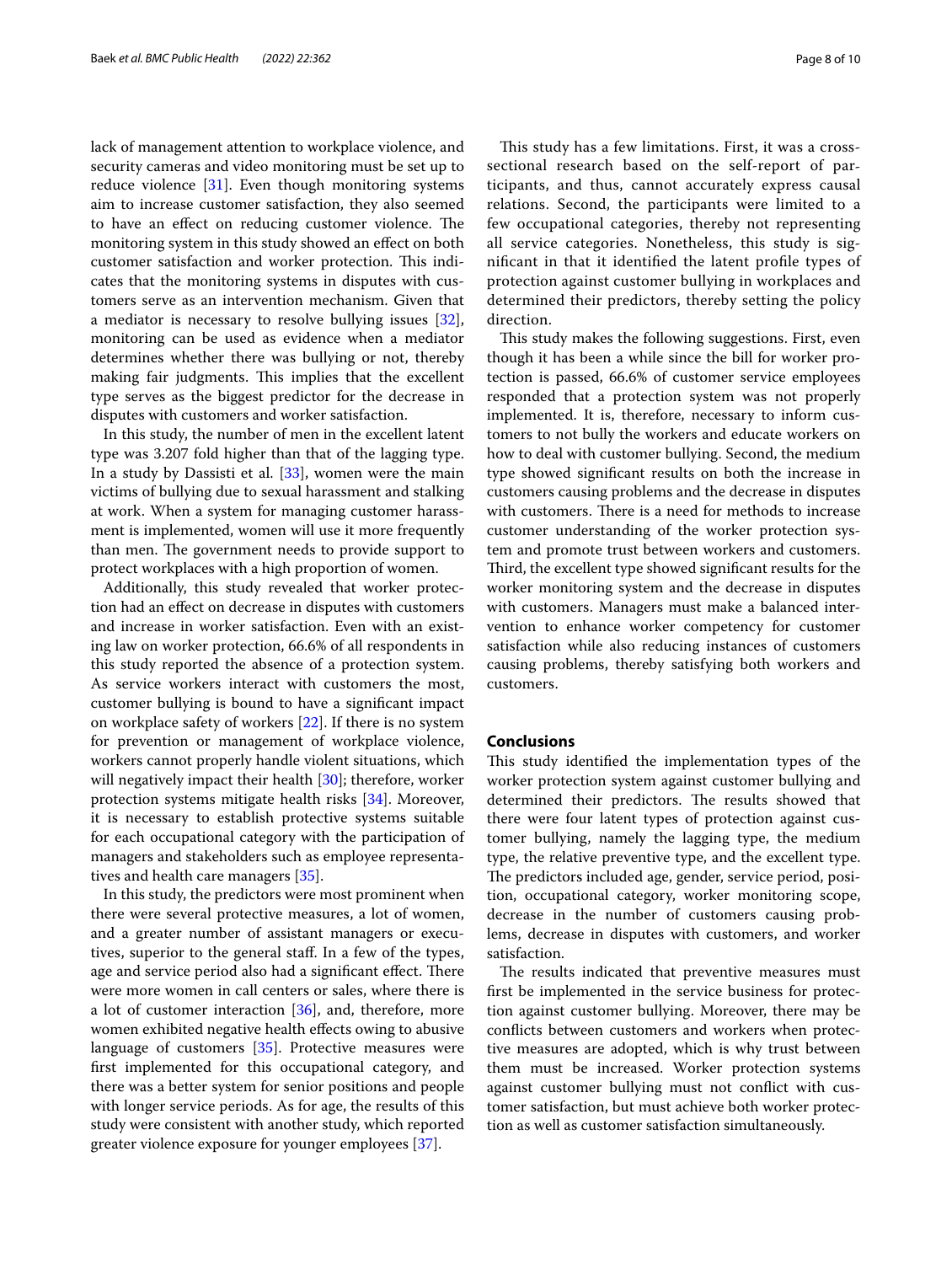lack of management attention to workplace violence, and security cameras and video monitoring must be set up to reduce violence  $[31]$  $[31]$ . Even though monitoring systems aim to increase customer satisfaction, they also seemed to have an effect on reducing customer violence. The monitoring system in this study showed an efect on both customer satisfaction and worker protection. This indicates that the monitoring systems in disputes with customers serve as an intervention mechanism. Given that a mediator is necessary to resolve bullying issues [\[32](#page-9-3)], monitoring can be used as evidence when a mediator determines whether there was bullying or not, thereby making fair judgments. This implies that the excellent type serves as the biggest predictor for the decrease in disputes with customers and worker satisfaction.

In this study, the number of men in the excellent latent type was 3.207 fold higher than that of the lagging type. In a study by Dassisti et al. [[33\]](#page-9-4), women were the main victims of bullying due to sexual harassment and stalking at work. When a system for managing customer harassment is implemented, women will use it more frequently than men. The government needs to provide support to protect workplaces with a high proportion of women.

Additionally, this study revealed that worker protection had an efect on decrease in disputes with customers and increase in worker satisfaction. Even with an existing law on worker protection, 66.6% of all respondents in this study reported the absence of a protection system. As service workers interact with customers the most, customer bullying is bound to have a signifcant impact on workplace safety of workers [[22](#page-8-21)]. If there is no system for prevention or management of workplace violence, workers cannot properly handle violent situations, which will negatively impact their health [[30\]](#page-9-1); therefore, worker protection systems mitigate health risks [[34\]](#page-9-5). Moreover, it is necessary to establish protective systems suitable for each occupational category with the participation of managers and stakeholders such as employee representatives and health care managers [\[35](#page-9-6)].

In this study, the predictors were most prominent when there were several protective measures, a lot of women, and a greater number of assistant managers or executives, superior to the general staf. In a few of the types, age and service period also had a significant effect. There were more women in call centers or sales, where there is a lot of customer interaction [\[36](#page-9-7)], and, therefore, more women exhibited negative health effects owing to abusive language of customers [\[35\]](#page-9-6). Protective measures were frst implemented for this occupational category, and there was a better system for senior positions and people with longer service periods. As for age, the results of this study were consistent with another study, which reported greater violence exposure for younger employees [\[37](#page-9-8)].

This study has a few limitations. First, it was a crosssectional research based on the self-report of participants, and thus, cannot accurately express causal relations. Second, the participants were limited to a few occupational categories, thereby not representing all service categories. Nonetheless, this study is signifcant in that it identifed the latent profle types of protection against customer bullying in workplaces and determined their predictors, thereby setting the policy direction.

This study makes the following suggestions. First, even though it has been a while since the bill for worker protection is passed, 66.6% of customer service employees responded that a protection system was not properly implemented. It is, therefore, necessary to inform customers to not bully the workers and educate workers on how to deal with customer bullying. Second, the medium type showed signifcant results on both the increase in customers causing problems and the decrease in disputes with customers. There is a need for methods to increase customer understanding of the worker protection system and promote trust between workers and customers. Third, the excellent type showed significant results for the worker monitoring system and the decrease in disputes with customers. Managers must make a balanced intervention to enhance worker competency for customer satisfaction while also reducing instances of customers causing problems, thereby satisfying both workers and customers.

#### **Conclusions**

This study identified the implementation types of the worker protection system against customer bullying and determined their predictors. The results showed that there were four latent types of protection against customer bullying, namely the lagging type, the medium type, the relative preventive type, and the excellent type. The predictors included age, gender, service period, position, occupational category, worker monitoring scope, decrease in the number of customers causing problems, decrease in disputes with customers, and worker satisfaction.

The results indicated that preventive measures must frst be implemented in the service business for protection against customer bullying. Moreover, there may be conficts between customers and workers when protective measures are adopted, which is why trust between them must be increased. Worker protection systems against customer bullying must not confict with customer satisfaction, but must achieve both worker protection as well as customer satisfaction simultaneously.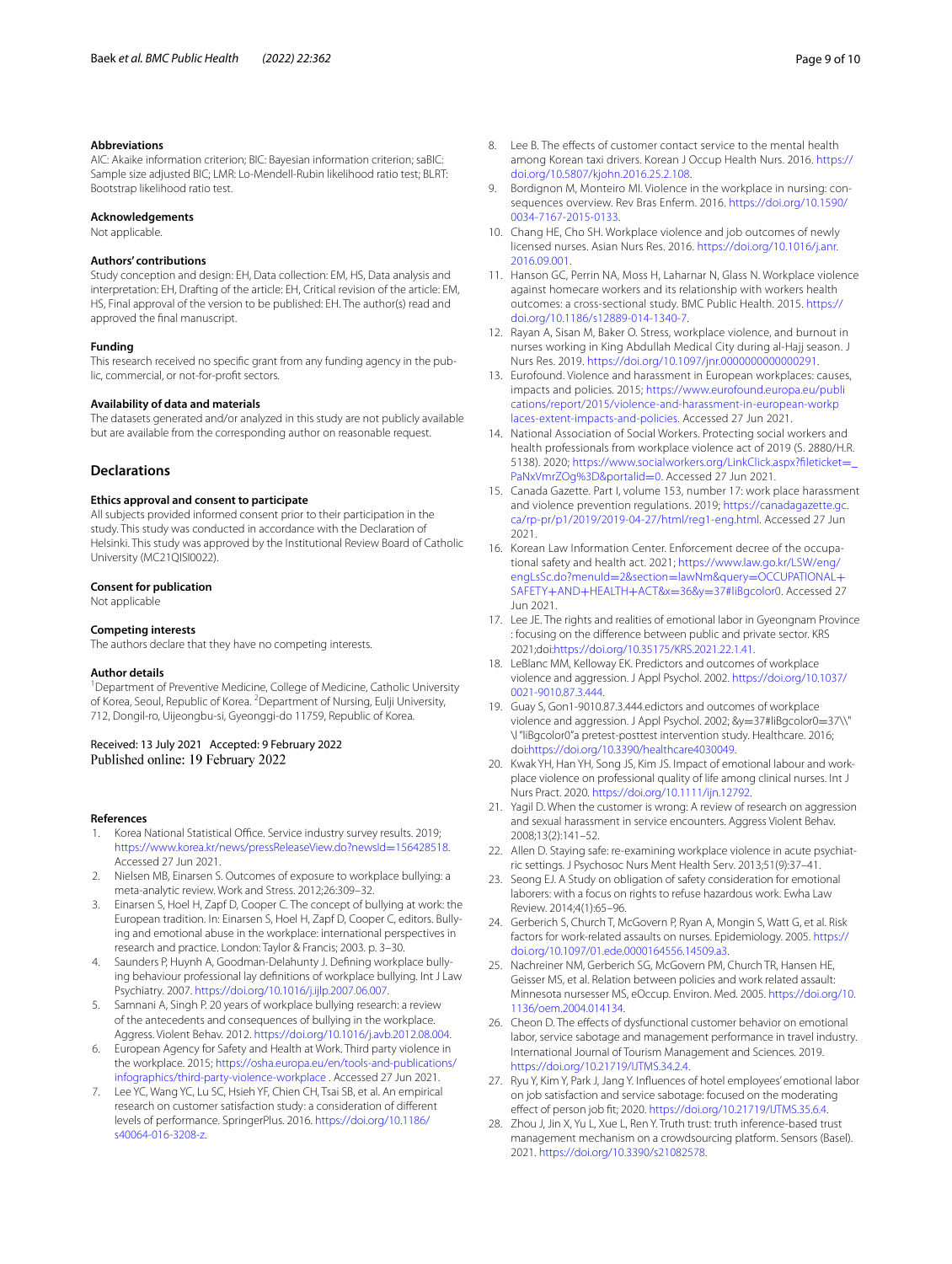#### **Abbreviations**

AIC: Akaike information criterion; BIC: Bayesian information criterion; saBIC: Sample size adjusted BIC; LMR: Lo-Mendell-Rubin likelihood ratio test; BLRT: Bootstrap likelihood ratio test.

#### **Acknowledgements**

Not applicable.

#### **Authors' contributions**

Study conception and design: EH, Data collection: EM, HS, Data analysis and interpretation: EH, Drafting of the article: EH, Critical revision of the article: EM, HS, Final approval of the version to be published: EH. The author(s) read and approved the fnal manuscript.

#### **Funding**

This research received no specific grant from any funding agency in the public, commercial, or not-for-proft sectors.

#### **Availability of data and materials**

The datasets generated and/or analyzed in this study are not publicly available but are available from the corresponding author on reasonable request.

#### **Declarations**

# **Ethics approval and consent to participate**

All subjects provided informed consent prior to their participation in the study. This study was conducted in accordance with the Declaration of Helsinki. This study was approved by the Institutional Review Board of Catholic University (MC21QISI0022).

#### **Consent for publication**

Not applicable

#### **Competing interests**

The authors declare that they have no competing interests.

#### **Author details**

<sup>1</sup> Department of Preventive Medicine, College of Medicine, Catholic University of Korea, Seoul, Republic of Korea. <sup>2</sup> Department of Nursing, Eulji University, 712, Dongil‑ro, Uijeongbu‑si, Gyeonggi‑do 11759, Republic of Korea.

# Received: 13 July 2021 Accepted: 9 February 2022<br>Published online: 19 February 2022

#### **References**

- <span id="page-8-0"></span>Korea National Statistical Office. Service industry survey results. 2019; [https://www.korea.kr/news/pressReleaseView.do?newsId](https://www.korea.kr/news/pressReleaseView.do/?newsId=156428518)=156428518. Accessed 27 Jun 2021.
- <span id="page-8-1"></span>2. Nielsen MB, Einarsen S. Outcomes of exposure to workplace bullying: a meta-analytic review. Work and Stress. 2012;26:309–32.
- <span id="page-8-2"></span>3. Einarsen S, Hoel H, Zapf D, Cooper C. The concept of bullying at work: the European tradition. In: Einarsen S, Hoel H, Zapf D, Cooper C, editors. Bullying and emotional abuse in the workplace: international perspectives in research and practice. London: Taylor & Francis; 2003. p. 3–30.
- <span id="page-8-3"></span>4. Saunders P, Huynh A, Goodman-Delahunty J. Defining workplace bullying behaviour professional lay defnitions of workplace bullying. Int J Law Psychiatry. 2007.<https://doi.org/10.1016/j.ijlp.2007.06.007>.
- <span id="page-8-4"></span>5. Samnani A, Singh P. 20 years of workplace bullying research: a review of the antecedents and consequences of bullying in the workplace. Aggress. Violent Behav. 2012.<https://doi.org/10.1016/j.avb.2012.08.004>.
- <span id="page-8-5"></span>6. European Agency for Safety and Health at Work. Third party violence in the workplace. 2015; [https://osha.europa.eu/en/tools-and-publications/](https://osha.europa.eu/en/tools-and-publications/infographics/third-party-violence-workplace) [infographics/third-party-violence-workplace](https://osha.europa.eu/en/tools-and-publications/infographics/third-party-violence-workplace) . Accessed 27 Jun 2021.
- <span id="page-8-6"></span>7. Lee YC, Wang YC, Lu SC, Hsieh YF, Chien CH, Tsai SB, et al. An empirical research on customer satisfaction study: a consideration of diferent levels of performance. SpringerPlus. 2016. [https://doi.org/10.1186/](https://doi.org/10.1186/s40064-016-3208-z) [s40064-016-3208-z](https://doi.org/10.1186/s40064-016-3208-z).
- <span id="page-8-7"></span>8. Lee B. The effects of customer contact service to the mental health among Korean taxi drivers. Korean J Occup Health Nurs. 2016. [https://](https://doi.org/10.5807/kjohn.2016.25.2.108) [doi.org/10.5807/kjohn.2016.25.2.108.](https://doi.org/10.5807/kjohn.2016.25.2.108)
- <span id="page-8-8"></span>9. Bordignon M, Monteiro MI. Violence in the workplace in nursing: consequences overview. Rev Bras Enferm. 2016. [https://doi.org/10.1590/](https://doi.org/10.1590/0034-7167-2015-0133) [0034-7167-2015-0133.](https://doi.org/10.1590/0034-7167-2015-0133)
- <span id="page-8-9"></span>10. Chang HE, Cho SH. Workplace violence and job outcomes of newly licensed nurses. Asian Nurs Res. 2016. [https://doi.org/10.1016/j.anr.](https://doi.org/10.1016/j.anr.2016.09.001) [2016.09.001](https://doi.org/10.1016/j.anr.2016.09.001).
- <span id="page-8-10"></span>11. Hanson GC, Perrin NA, Moss H, Laharnar N, Glass N. Workplace violence against homecare workers and its relationship with workers health outcomes: a cross-sectional study. BMC Public Health. 2015. [https://](https://doi.org/10.1186/s12889-014-1340-7) [doi.org/10.1186/s12889-014-1340-7.](https://doi.org/10.1186/s12889-014-1340-7)
- <span id="page-8-11"></span>12. Rayan A, Sisan M, Baker O. Stress, workplace violence, and burnout in nurses working in King Abdullah Medical City during al-Hajj season. J Nurs Res. 2019. <https://doi.org/10.1097/jnr.0000000000000291>.
- <span id="page-8-12"></span>13. Eurofound. Violence and harassment in European workplaces: causes, impacts and policies. 2015; [https://www.eurofound.europa.eu/publi](https://www.eurofound.europa.eu/publications/report/2015/violence-and-harassment-in-european-workplaces-extent-impacts-and-policies) [cations/report/2015/violence-and-harassment-in-european-workp](https://www.eurofound.europa.eu/publications/report/2015/violence-and-harassment-in-european-workplaces-extent-impacts-and-policies) [laces-extent-impacts-and-policies](https://www.eurofound.europa.eu/publications/report/2015/violence-and-harassment-in-european-workplaces-extent-impacts-and-policies). Accessed 27 Jun 2021.
- <span id="page-8-13"></span>14. National Association of Social Workers. Protecting social workers and health professionals from workplace violence act of 2019 (S. 2880/H.R. 5138). 2020; https://www.socialworkers.org/LinkClick.aspx?fileticket= [PaNxVmrZOg%3D&portalid](https://www.socialworkers.org/LinkClick.aspx/?fileticket=_PaNxVmrZOg=&portalid=0)=0. Accessed 27 Jun 2021.
- <span id="page-8-14"></span>15. Canada Gazette. Part I, volume 153, number 17: work place harassment and violence prevention regulations. 2019; [https://canadagazette.gc.](https://canadagazette.gc.ca/rp-pr/p1/2019/2019-04-27/html/reg1-eng.html) [ca/rp-pr/p1/2019/2019-04-27/html/reg1-eng.html](https://canadagazette.gc.ca/rp-pr/p1/2019/2019-04-27/html/reg1-eng.html). Accessed 27 Jun 2021.
- <span id="page-8-15"></span>16. Korean Law Information Center. Enforcement decree of the occupational safety and health act. 2021; [https://www.law.go.kr/LSW/eng/](https://www.law.go.kr/LSW/eng/engLsSc.do?menuId=2§ion=lawNm&query=OCCUPATIONAL+SAFETY+AND+HEALTH+ACT&x=36&y=37#liBgcolor0) [engLsSc.do?menuId](https://www.law.go.kr/LSW/eng/engLsSc.do?menuId=2§ion=lawNm&query=OCCUPATIONAL+SAFETY+AND+HEALTH+ACT&x=36&y=37#liBgcolor0)=2&section=lawNm&query=OCCUPATIONAL+ SAFETY+AND+HEALTH+ACT&x=36&y=[37#liBgcolor0.](https://www.law.go.kr/LSW/eng/engLsSc.do?menuId=2§ion=lawNm&query=OCCUPATIONAL+SAFETY+AND+HEALTH+ACT&x=36&y=37#liBgcolor0) Accessed 27 Jun 2021.
- <span id="page-8-16"></span>17. Lee JE. The rights and realities of emotional labor in Gyeongnam Province : focusing on the diference between public and private sector. KRS 2021;doi:<https://doi.org/10.35175/KRS.2021.22.1.41>.
- <span id="page-8-17"></span>18. LeBlanc MM, Kelloway EK. Predictors and outcomes of workplace violence and aggression. J Appl Psychol. 2002. [https://doi.org/10.1037/](https://doi.org/10.1037/0021-9010.87.3.444) [0021-9010.87.3.444](https://doi.org/10.1037/0021-9010.87.3.444).
- <span id="page-8-18"></span>19. Guay S, Gon1-9010.87.3.444.edictors and outcomes of workplace violence and aggression. J Appl Psychol. 2002; &y=37#liBgcolor0=37\\" \l "liBgcolor0"a pretest-posttest intervention study. Healthcare. 2016; doi:[https://doi.org/10.3390/healthcare4030049.](https://doi.org/10.3390/healthcare4030049)
- <span id="page-8-19"></span>20. Kwak YH, Han YH, Song JS, Kim JS. Impact of emotional labour and workplace violence on professional quality of life among clinical nurses. Int J Nurs Pract. 2020. <https://doi.org/10.1111/ijn.12792>.
- <span id="page-8-20"></span>21. Yagil D. When the customer is wrong: A review of research on aggression and sexual harassment in service encounters. Aggress Violent Behav. 2008;13(2):141–52.
- <span id="page-8-21"></span>22. Allen D. Staying safe: re-examining workplace violence in acute psychiatric settings. J Psychosoc Nurs Ment Health Serv. 2013;51(9):37–41.
- <span id="page-8-22"></span>23. Seong EJ. A Study on obligation of safety consideration for emotional laborers: with a focus on rights to refuse hazardous work. Ewha Law Review. 2014;4(1):65–96.
- <span id="page-8-23"></span>24. Gerberich S, Church T, McGovern P, Ryan A, Mongin S, Watt G, et al. Risk factors for work-related assaults on nurses. Epidemiology. 2005. [https://](https://doi.org/10.1097/01.ede.0000164556.14509.a3) [doi.org/10.1097/01.ede.0000164556.14509.a3](https://doi.org/10.1097/01.ede.0000164556.14509.a3).
- <span id="page-8-24"></span>25. Nachreiner NM, Gerberich SG, McGovern PM, Church TR, Hansen HE, Geisser MS, et al. Relation between policies and work related assault: Minnesota nursesser MS, eOccup. Environ. Med. 2005. [https://doi.org/10.](https://doi.org/10.1136/oem.2004.014134) [1136/oem.2004.014134](https://doi.org/10.1136/oem.2004.014134).
- <span id="page-8-25"></span>26. Cheon D. The effects of dysfunctional customer behavior on emotional labor, service sabotage and management performance in travel industry. International Journal of Tourism Management and Sciences. 2019. [https://doi.org/10.21719/IJTMS.34.2.4.](https://doi.org/10.21719/IJTMS.34.2.4)
- <span id="page-8-26"></span>27. Ryu Y, Kim Y, Park J, Jang Y. Infuences of hotel employees' emotional labor on job satisfaction and service sabotage: focused on the moderating efect of person job ft; 2020.<https://doi.org/10.21719/IJTMS.35.6.4>.
- <span id="page-8-27"></span>28. Zhou J, Jin X, Yu L, Xue L, Ren Y. Truth trust: truth inference-based trust management mechanism on a crowdsourcing platform. Sensors (Basel). 2021.<https://doi.org/10.3390/s21082578>.